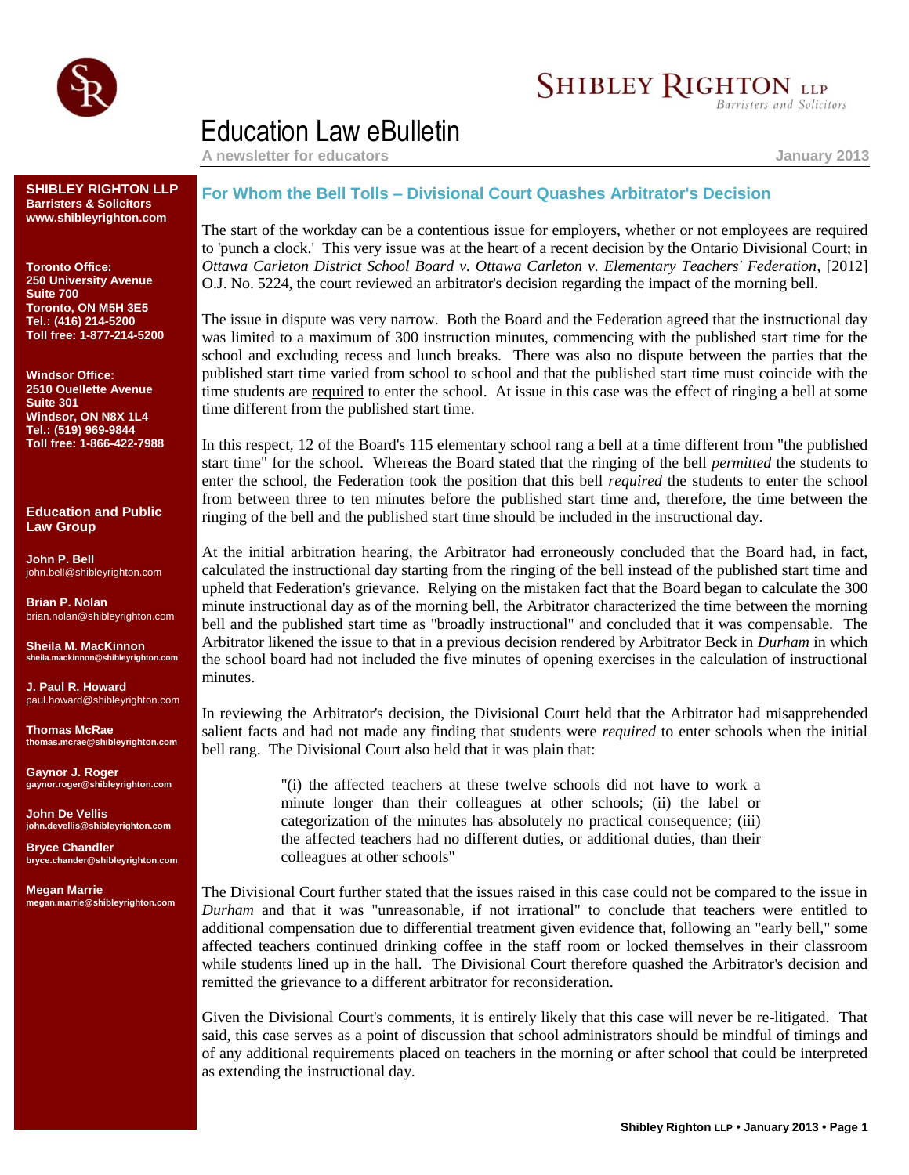

## **SHIBLEY RIGHTON LLP**

Barristers and Solicitors

## Education Law eBulletin

**A newsletter for educators January 2013**

**SHIBLEY RIGHTON LLP Barristers & Solicitors www.shibleyrighton.com**

**Toronto Office: 250 University Avenue Suite 700 Toronto, ON M5H 3E5 Tel.: (416) 214-5200 Toll free: 1-877-214-5200**

**Windsor Office: 2510 Ouellette Avenue Suite 301 Windsor, ON N8X 1L4 Tel.: (519) 969-9844 Toll free: 1-866-422-7988**

**Education and Public Law Group**

**John P. Bell** john.bell@shibleyrighton.com

**Brian P. Nolan** brian.nolan@shibleyrighton.com

**Sheila M. MacKinnon sheila.mackinnon@shibleyrighton.com**

**J. Paul R. Howard** paul.howard@shibleyrighton.com

**Thomas McRae thomas.mcrae@shibleyrighton.com**

**Gaynor J. Roger gaynor.roger@shibleyrighton.com**

**John De Vellis john.devellis@shibleyrighton.com**

**Bryce Chandler bryce.chander@shibleyrighton.com**

**Megan Marrie megan.marrie@shibleyrighton.com**

## **For Whom the Bell Tolls – Divisional Court Quashes Arbitrator's Decision**

The start of the workday can be a contentious issue for employers, whether or not employees are required to 'punch a clock.' This very issue was at the heart of a recent decision by the Ontario Divisional Court; in *Ottawa Carleton District School Board v. Ottawa Carleton v. Elementary Teachers' Federation*, [2012] O.J. No. 5224, the court reviewed an arbitrator's decision regarding the impact of the morning bell.

The issue in dispute was very narrow. Both the Board and the Federation agreed that the instructional day was limited to a maximum of 300 instruction minutes, commencing with the published start time for the school and excluding recess and lunch breaks. There was also no dispute between the parties that the published start time varied from school to school and that the published start time must coincide with the time students are required to enter the school. At issue in this case was the effect of ringing a bell at some time different from the published start time.

In this respect, 12 of the Board's 115 elementary school rang a bell at a time different from "the published start time" for the school. Whereas the Board stated that the ringing of the bell *permitted* the students to enter the school, the Federation took the position that this bell *required* the students to enter the school from between three to ten minutes before the published start time and, therefore, the time between the ringing of the bell and the published start time should be included in the instructional day.

At the initial arbitration hearing, the Arbitrator had erroneously concluded that the Board had, in fact, calculated the instructional day starting from the ringing of the bell instead of the published start time and upheld that Federation's grievance. Relying on the mistaken fact that the Board began to calculate the 300 minute instructional day as of the morning bell, the Arbitrator characterized the time between the morning bell and the published start time as "broadly instructional" and concluded that it was compensable. The Arbitrator likened the issue to that in a previous decision rendered by Arbitrator Beck in *Durham* in which the school board had not included the five minutes of opening exercises in the calculation of instructional minutes.

In reviewing the Arbitrator's decision, the Divisional Court held that the Arbitrator had misapprehended salient facts and had not made any finding that students were *required* to enter schools when the initial bell rang. The Divisional Court also held that it was plain that:

> "(i) the affected teachers at these twelve schools did not have to work a minute longer than their colleagues at other schools; (ii) the label or categorization of the minutes has absolutely no practical consequence; (iii) the affected teachers had no different duties, or additional duties, than their colleagues at other schools"

The Divisional Court further stated that the issues raised in this case could not be compared to the issue in *Durham* and that it was "unreasonable, if not irrational" to conclude that teachers were entitled to additional compensation due to differential treatment given evidence that, following an "early bell," some affected teachers continued drinking coffee in the staff room or locked themselves in their classroom while students lined up in the hall. The Divisional Court therefore quashed the Arbitrator's decision and remitted the grievance to a different arbitrator for reconsideration.

Given the Divisional Court's comments, it is entirely likely that this case will never be re-litigated. That said, this case serves as a point of discussion that school administrators should be mindful of timings and of any additional requirements placed on teachers in the morning or after school that could be interpreted as extending the instructional day.